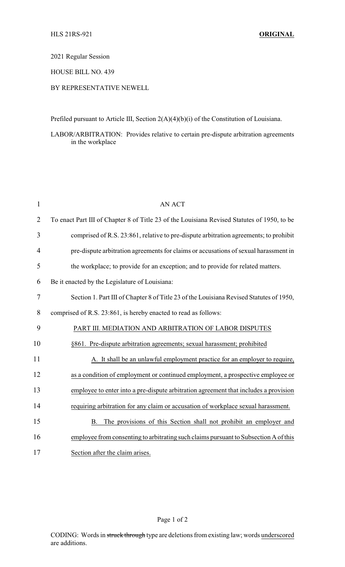2021 Regular Session

HOUSE BILL NO. 439

## BY REPRESENTATIVE NEWELL

Prefiled pursuant to Article III, Section 2(A)(4)(b)(i) of the Constitution of Louisiana.

LABOR/ARBITRATION: Provides relative to certain pre-dispute arbitration agreements in the workplace

| $\mathbf{1}$   | <b>AN ACT</b>                                                                               |
|----------------|---------------------------------------------------------------------------------------------|
| $\overline{2}$ | To enact Part III of Chapter 8 of Title 23 of the Louisiana Revised Statutes of 1950, to be |
| 3              | comprised of R.S. 23:861, relative to pre-dispute arbitration agreements; to prohibit       |
| 4              | pre-dispute arbitration agreements for claims or accusations of sexual harassment in        |
| 5              | the workplace; to provide for an exception; and to provide for related matters.             |
| 6              | Be it enacted by the Legislature of Louisiana:                                              |
| 7              | Section 1. Part III of Chapter 8 of Title 23 of the Louisiana Revised Statutes of 1950,     |
| 8              | comprised of R.S. 23:861, is hereby enacted to read as follows:                             |
| 9              | PART III. MEDIATION AND ARBITRATION OF LABOR DISPUTES                                       |
| 10             | §861. Pre-dispute arbitration agreements; sexual harassment; prohibited                     |
| 11             | A. It shall be an unlawful employment practice for an employer to require,                  |
| 12             | as a condition of employment or continued employment, a prospective employee or             |
| 13             | employee to enter into a pre-dispute arbitration agreement that includes a provision        |
| 14             | requiring arbitration for any claim or accusation of workplace sexual harassment.           |
| 15             | The provisions of this Section shall not prohibit an employer and<br><b>B.</b>              |
| 16             | employee from consenting to arbitrating such claims pursuant to Subsection A of this        |
| 17             | Section after the claim arises.                                                             |